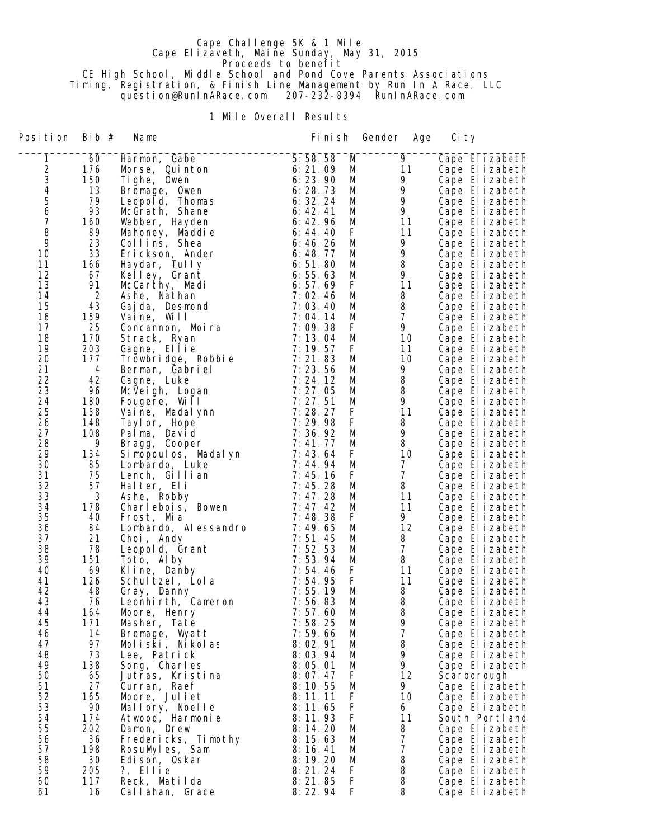## Cape Challenge 5K & 1 Mile Cape Elizaveth, Maine Sunday, May 31, 2015 **Proceeds to benefit**  CE High School, Middle School and Pond Cove Parents Associations Timing, Registration, & Finish Line Management by Run In A Race, LLC question@RunInARace.com 207-232-8394 RunInARace.com

1 Mile Overall Results

| Position       | Bib #     | Name                               | Fi ni sh           |             | Gender<br>Age  | Ci ty                            |  |
|----------------|-----------|------------------------------------|--------------------|-------------|----------------|----------------------------------|--|
| 1              | 60        | Harmon, Gabe                       | 5:58.58            | M           | $\overline{9}$ | Cape Elizabeth                   |  |
|                | 176       | Morse, Quinton                     | 6: 21.09           | M           | 11             | Cape Elizabeth                   |  |
|                | 150       | Tighe, Owen                        | 6:23.90            | M           | 9              | Cape Elizabeth                   |  |
|                | 13        | Bromage, Owen                      | 6:28.73            | M           | 9              | Cape Elizabeth                   |  |
| 23456          | 79        | Leopold, Thomas                    | 6:32.24            | M           | 9              | Cape Elizabeth                   |  |
|                | 93        | McGrath, Shane                     | 6: 42.41           | M           | 9              | Cape Elizabeth                   |  |
| $\overline{7}$ | 160       | Webber, Hayden                     | 6:42.96            | M           | 11             | Cape Elizabeth                   |  |
| 8              | 89        | Mahoney, Maddie                    | 6: 44.40           | F           | 11             | Cape Elizabeth                   |  |
| 9              | 23        | Collins, Shea                      | 6:46.26            | M           | 9              | Cape Elizabeth                   |  |
| 10             | 33        | Erickson, Ander                    | 6:48.77            | M           | 9              | Cape Elizabeth                   |  |
| 11             | 166       | Haydar, Tully                      | 6:51.80            | M           | 8              | Cape Elizabeth                   |  |
| 12             | 67        | Kelley, Grant                      | 6:55.63            | M           | 9              | Cape Elizabeth                   |  |
| 13             | 91        | McCarthy, Madi                     | 6:57.69            | F           | 11             | Cape Elizabeth                   |  |
| 14             | 2         | Ashe, Nathan                       | 7:02.46            | M           | 8              | Cape Elizabeth                   |  |
| 15             | 43        | Gaj da, Desmond                    | 7:03.40            | M           | 8              | Cape Elizabeth                   |  |
| 16             | 159       | Vaine, Will                        | 7:04.14            | M           | $\overline{7}$ | Cape Elizabeth                   |  |
| 17             | 25        | Concannon, Moira                   | 7:09.38            | F           | 9              | Cape Elizabeth                   |  |
| 18             | 170       | Strack, Ryan                       | 7:13.04            | M           | 10             | Cape Elizabeth                   |  |
| 19             | 203       | Gagne, Ellie                       | 7:19.57            | F           | 11             | Cape Elizabeth                   |  |
| 20<br>21       | 177       | Trowbridge, Robbie                 | 7:21.83<br>7:23.56 | M           | 10             | Cape Elizabeth                   |  |
| 22             | 4<br>42   | Berman, Gabriel<br>Gagne, Luke     | 7:24.12            | M<br>M      | 9<br>8         | Cape Elizabeth                   |  |
| 23             | 96        | McVeigh, Logan                     | 7:27.05            | M           | 8              | Cape Elizabeth<br>Cape Elizabeth |  |
| 24             | 180       | Fougere, Will                      | 7:27.51            | M           | 9              | Cape Elizabeth                   |  |
| 25             | 158       | Vaine, Madal ynn                   | 7:28.27            | F           | 11             | Cape Elizabeth                   |  |
| 26             | 148       | Tayl or, Hope                      | 7:29.98            | F           | 8              | Cape Elizabeth                   |  |
| 27             | 108       | Palma, David                       | 7:36.92            | M           | 9              | Cape Elizabeth                   |  |
| 28             | 9         | Bragg, Cooper                      | 7:41.77            | M           | 8              | Cape Elizabeth                   |  |
| 29             | 134       | Si mopoul os, Madal yn             | 7:43.64            | F           | 10             | Cape Elizabeth                   |  |
| 30             | 85        | Lombardo, Luke                     | 7:44.94            | M           | $\overline{7}$ | Cape Elizabeth                   |  |
| 31             | 75        | Lench, Gillian                     | 7:45.16            | F           | $\overline{7}$ | Cape Elizabeth                   |  |
| 32             | 57        | Halter, Eli                        | 7:45.28            | M           | 8              | Cape Elizabeth                   |  |
| 33             | 3         | Ashe, Robby                        | 7:47.28            | M           | 11             | Cape Elizabeth                   |  |
| 34             | 178       | Charlebois, Bowen                  | 7:47.42            | M           | 11             | Cape Elizabeth                   |  |
| 35             | 40        | Frost, Mia                         | 7:48.38            | F           | 9              | Cape Elizabeth                   |  |
| 36             | 84        | Lombardo, Alessandro               | 7:49.65            | M           | 12             | Cape Elizabeth                   |  |
| 37             | 21        | Choi, Andy                         | 7:51.45            | M           | 8              | Cape Elizabeth                   |  |
| 38             | 78        | Leopold, Grant                     | 7:52.53            | M           | $\overline{7}$ | Cape Elizabeth                   |  |
| 39             | 151       | Toto, Alby                         | 7:53.94            | M           | 8              | Cape Elizabeth                   |  |
| 40             | 69        | Kline, Danby                       | 7:54.46            | F           | 11             | Cape Elizabeth                   |  |
| 41             | 126       | Schultzel, Lola                    | 7:54.95            | F           | 11             | Cape Elizabeth                   |  |
| 42             | 48        | Gray, Danny                        | 7:55.19            | M           | 8              | Cape Elizabeth                   |  |
| 43<br>44       | 76<br>164 | Leonhirth, Cameron<br>Moore, Henry | 7:56.83<br>7:57.60 | M           | 8<br>8         | Cape Elizabeth                   |  |
| 45             | 171       | Masher, Tate                       | 7:58.25            | M<br>M      | 9              | Cape Elizabeth<br>Cape Elizabeth |  |
| 46             | 14        | Bromage, Wyatt                     | 7:59.66            | M           | 7              | Cape Elizabeth                   |  |
| 47             | 97        | Moliski, Nikolas                   | 8:02.91            | M           | 8              | Cape Elizabeth                   |  |
| 48             | 73        | Lee, Patrick                       | 8:03.94            | M           | 9              | Cape Elizabeth                   |  |
| 49             | 138       | Song, Charles                      | 8:05.01            | M           | 9              | Cape Elizabeth                   |  |
| 50             | 65        | Jutras, Kristina                   | 8:07.47            | F           | 12             | Scarborough                      |  |
| 51             | 27        | Curran, Raef                       | 8:10.55            | M           | 9.             | Cape Elizabeth                   |  |
| 52             | 165       | Moore, Juliet                      | 8:11.11            | F           | 10             | Cape Elizabeth                   |  |
| 53             | 90        | Mallory, Noelle                    | 8:11.65            | F           | 6              | Cape Elizabeth                   |  |
| 54             | 174       | Atwood, Harmonie                   | 8:11.93            | $\mathsf F$ | 11             | South Portland                   |  |
| 55             | 202       | Damon, Drew                        | 8:14.20            | M           | 8              | Cape Elizabeth                   |  |
| 56             | 36        | Fredericks, Timothy                | 8:15.63            | M           | 7              | Cape Elizabeth                   |  |
| 57             | 198       | RosuMyles, Sam                     | 8:16.41            | M           | $\overline{7}$ | Cape Elizabeth                   |  |
| 58             | 30        | Edi son, Oskar                     | 8:19.20            | M           | 8              | Cape Elizabeth                   |  |
| 59             | 205       | ?, Ellie                           | 8: 21.24           | F           | 8              | Cape Elizabeth                   |  |
| 60             | 117       | Reck, Matilda                      | 8:21.85            | F           | 8              | Cape Elizabeth                   |  |
| 61             | 16        | Callahan, Grace                    | 8:22.94            | F           | 8              | Cape Elizabeth                   |  |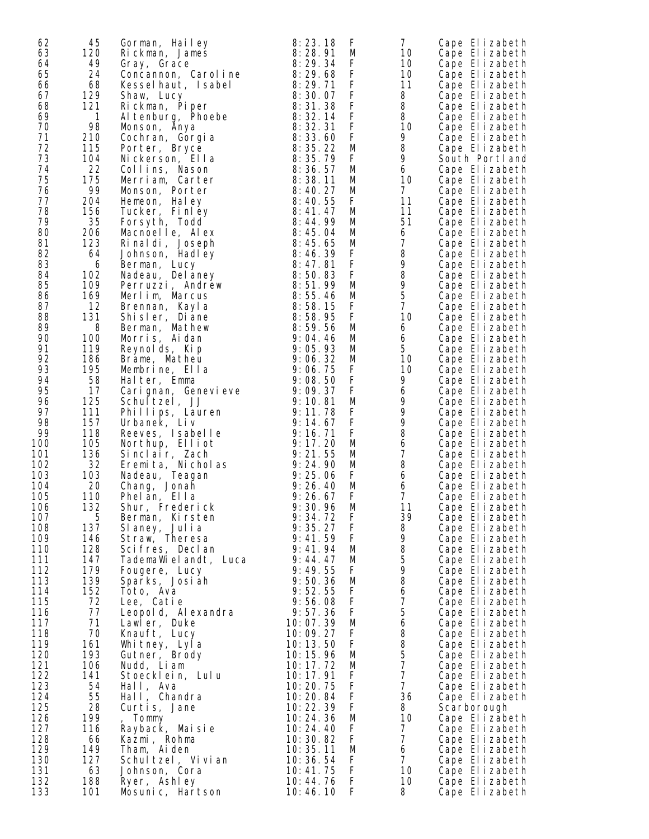| 62  | 45  | Gorman, Hailey       | 8:23.18    | F           | $\overline{7}$                        | Cape Elizabeth |
|-----|-----|----------------------|------------|-------------|---------------------------------------|----------------|
| 63  | 120 |                      | 8:28.91    |             | 10                                    |                |
|     |     | Rickman, James       |            | M           |                                       | Cape Elizabeth |
| 64  | 49  | Gray, Grace          | 8:29.34    | F           | 10                                    | Cape Elizabeth |
| 65  | 24  | Concannon, Caroline  | 8:29.68    | $\mathsf F$ | 10                                    | Cape Elizabeth |
| 66  | 68  | Kesselhaut, Isabel   | 8:29.71    | F           | 11                                    | Cape Elizabeth |
| 67  | 129 | Shaw, Lucy           | 8:30.07    | F           | 8                                     | Cape Elizabeth |
| 68  | 121 | Rickman, Piper       | 8:31.38    | $\mathsf F$ | 8                                     | Cape Elizabeth |
| 69  | 1   |                      | 8:32.14    | F           | 8                                     | Cape Elizabeth |
|     |     | Al tenburg, Phoebe   |            |             |                                       |                |
| 70  | 98  | Monson, Anya         | 8:32.31    | F           | 10                                    | Cape Elizabeth |
| 71  | 210 | Cochran, Gorgia      | 8:33.60    | F           | 9                                     | Cape Elizabeth |
| 72  | 115 | Porter, Bryce        | 8:35.22    | M           | 8                                     | Cape Elizabeth |
| 73  | 104 | Nickerson, Ella      | 8:35.79    | F           | 9                                     | South Portland |
| 74  | 22  | Collins, Nason       | 8:36.57    | M           | 6                                     | Cape Elizabeth |
| 75  | 175 |                      | 8:38.11    | M           | 10                                    |                |
|     |     | Merriam, Carter      |            |             |                                       | Cape Elizabeth |
| 76  | 99  | Monson, Porter       | 8:40.27    | M           | $\overline{7}$                        | Cape Elizabeth |
| 77  | 204 | Hemeon, Haley        | 8:40.55    | F           | 11                                    | Cape Elizabeth |
| 78  | 156 | Tucker, Finley       | 8: 41.47   | M           | 11                                    | Cape Elizabeth |
| 79  | 35  | Forsyth, Todd        | 8:44.99    | M           | 51                                    | Cape Elizabeth |
| 80  | 206 | Macnoelle, Alex      | 8:45.04    | M           | 6                                     | Cape Elizabeth |
| 81  | 123 | Rinal di, Joseph     | 8:45.65    | M           | $\overline{7}$                        | Cape Elizabeth |
|     |     |                      |            |             |                                       |                |
| 82  | 64  | Johnson, Hadley      | 8:46.39    | F           | 8                                     | Cape Elizabeth |
| 83  | 6   | Berman, Lucy         | 8:47.81    | F           | 9                                     | Cape Elizabeth |
| 84  | 102 | Nadeau, Del aney     | 8:50.83    | F           | 8                                     | Cape Elizabeth |
| 85  | 109 | Perruzzi, Andrew     | 8:51.99    | M           | 9                                     | Cape Elizabeth |
| 86  | 169 | Merlim, Marcus       | 8:55.46    | M           | 5                                     | Cape Elizabeth |
| 87  | 12  |                      | 8:58.15    | F           | $\overline{7}$                        | Cape Elizabeth |
|     |     | Brennan, Kayla       |            |             |                                       |                |
| 88  | 131 | Shisler, Diane       | 8:58.95    | F           | 10                                    | Cape Elizabeth |
| 89  | 8   | Berman, Mathew       | 8:59.56    | M           | 6                                     | Cape Elizabeth |
| 90  | 100 | Morris, Aidan        | 9:04.46    | M           | 6                                     | Cape Elizabeth |
| 91  | 119 | Reynolds, Kip        | 9:05.93    | M           | 5                                     | Cape Elizabeth |
| 92  | 186 | Brame, Matheu        | 9:06.32    | M           | 10                                    | Cape Elizabeth |
| 93  | 195 |                      | 9:06.75    | F           | 10                                    | Cape Elizabeth |
|     |     | Membrine, Ella       |            |             |                                       |                |
| 94  | 58  | Halter, Emma         | 9:08.50    | F           | 9                                     | Cape Elizabeth |
| 95  | 17  | Carignan, Genevieve  | 9:09.37    | F           | 6                                     | Cape Elizabeth |
| 96  | 125 | Schultzel, JJ        | 9:10.81    | M           | 9                                     | Cape Elizabeth |
| 97  | 111 | Phillips, Lauren     | 9:11.78    | F           | 9                                     | Cape Elizabeth |
| 98  | 157 | Urbanek, Liv         | 9:14.67    | F           | 9                                     | Cape Elizabeth |
| 99  | 118 | Reeves, Isabelle     | 9:16.71    | F           | 8                                     | Cape Elizabeth |
|     |     |                      |            |             |                                       |                |
| 100 | 105 | Northup, Elliot      | 9:17.20    | M           | $\boldsymbol{6}$                      | Cape Elizabeth |
| 101 | 136 | Sinclair, Zach       | 9:21.55    | M           | $\overline{7}$                        | Cape Elizabeth |
| 102 | 32  | Eremita, Nicholas    | 9:24.90    | M           | 8                                     | Cape Elizabeth |
| 103 | 103 | Nadeau, Teagan       | 9:25.06    | F           | 6                                     | Cape Elizabeth |
| 104 | 20  | Chang, Jonah         | 9:26.40    | M           | 6                                     | Cape Elizabeth |
| 105 | 110 | Phelan, Ella         | 9:26.67    | F           | 7                                     | Cape Elizabeth |
|     |     |                      |            |             | 11                                    |                |
| 106 | 132 | Shur, Frederick      | 9:30.96    | M           |                                       | Cape Elizabeth |
| 107 | 5   | Berman, Kirsten      | 9:34.72    | F           | 39                                    | Cape Elizabeth |
| 108 | 137 | Slaney, Julia        | 9:35.27    | F           | 8                                     | Cape Elizabeth |
| 109 | 146 | Straw, Theresa       | 9: 41.59   | F           | 9                                     | Cape Elizabeth |
| 110 | 128 | Scifres, Declan      | 9:41.94    | M           | 8                                     | Cape Elizabeth |
| 111 | 147 | TademaWielandt, Luca | 9:44.47    | M           | 5                                     | Cape Elizabeth |
| 112 | 179 | Fougere, Lucy        | 9:49.55    | F           | 9                                     | Cape Elizabeth |
|     |     |                      |            |             |                                       |                |
| 113 | 139 | Sparks, Josiah       | 9:50.36    | M           | 8                                     | Cape Elizabeth |
| 114 | 152 | Toto, Ava            | 9:52.55    | F           | $\boldsymbol{6}$                      | Cape Elizabeth |
| 115 | 72  | Lee, Catie           | 9:56.08    | $\mathsf F$ | $\overline{7}$                        | Cape Elizabeth |
| 116 | 77  | Leopol d, Al exandra | 9:57.36    | F           | $\mathbf 5$                           | Cape Elizabeth |
| 117 | 71  | Lawler, Duke         | 10:07.39   | M           | $\boldsymbol{6}$                      | Cape Elizabeth |
| 118 | 70  | Knauft, Lucy         | 10:09.27   | F           | 8                                     | Cape Elizabeth |
|     |     |                      |            |             |                                       |                |
| 119 | 161 | Whitney, Lyla        | 10:13.50   | F           | $\begin{array}{c} 8 \\ 5 \end{array}$ | Cape Elizabeth |
| 120 | 193 | Gutner, Brody        | 10: 15. 96 | M           |                                       | Cape Elizabeth |
| 121 | 106 | Nudd, Liam           | 10:17.72   | M           | $\overline{7}$                        | Cape Elizabeth |
| 122 | 141 | Stoecklein, Lulu     | 10:17.91   | F           | $\overline{7}$                        | Cape Elizabeth |
| 123 | 54  | Hall, Ava            | 10:20.75   | F           | $\overline{7}$                        | Cape Elizabeth |
| 124 | 55  | Hall, Chandra        | 10:20.84   | $\mathsf F$ | 36                                    | Cape Elizabeth |
|     |     |                      |            |             |                                       |                |
| 125 | 28  | Curtis, Jane         | 10:22.39   | F           | 8                                     | Scarborough    |
| 126 | 199 | , Tommy              | 10:24.36   | M           | 10                                    | Cape Elizabeth |
| 127 | 116 | Rayback, Maisie      | 10:24.40   | F           | 7                                     | Cape Elizabeth |
| 128 | 66  | Kazmi, Rohma         | 10:30.82   | F           | $\overline{7}$                        | Cape Elizabeth |
| 129 | 149 | Tham, Aiden          | 10:35.11   | M           | 6                                     | Cape Elizabeth |
| 130 | 127 | Schultzel, Vivian    | 10:36.54   | F           | $\overline{7}$                        | Cape Elizabeth |
| 131 |     |                      |            | F           |                                       |                |
|     | 63  | Johnson, Cora        | 10:41.75   |             | 10                                    | Cape Elizabeth |
| 132 | 188 | Ryer, Ashley         | 10:44.76   | F           | 10                                    | Cape Elizabeth |
| 133 | 101 | Mosunic, Hartson     | 10:46.10   | F           | 8                                     | Cape Elizabeth |